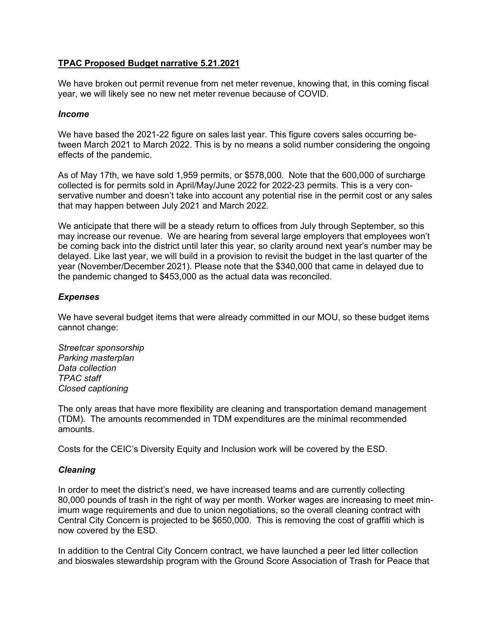# **TPAC Proposed Budget narrative 5.21.2021**

We have broken out permit revenue from net meter revenue, knowing that, in this coming fiscal year, we will likely see no new net meter revenue because of COVID.

#### *Income*

We have based the 2021-22 figure on sales last year. This figure covers sales occurring between March 2021 to March 2022. This is by no means a solid number considering the ongoing effects of the pandemic.

As of May 17th, we have sold 1,959 permits, or \$578,000. Note that the 600,000 of surcharge collected is for permits sold in April/May/June 2022 for 2022-23 permits. This is a very conservative number and doesn't take into account any potential rise in the permit cost or any sales that may happen between July 2021 and March 2022.

We anticipate that there will be a steady return to offices from July through September, so this may increase our revenue. We are hearing from several large employers that employees won't be coming back into the district until later this year, so clarity around next year's number may be delayed. Like last year, we will build in a provision to revisit the budget in the last quarter of the year (November/December 2021). Please note that the \$340,000 that came in delayed due to the pandemic changed to \$453,000 as the actual data was reconciled.

# *Expenses*

We have several budget items that were already committed in our MOU, so these budget items cannot change:

*Streetcar sponsorship Parking masterplan Data collection TPAC staff Closed captioning*

The only areas that have more flexibility are cleaning and transportation demand management (TDM). The amounts recommended in TDM expenditures are the minimal recommended amounts.

Costs for the CEIC's Diversity Equity and Inclusion work will be covered by the ESD.

# *Cleaning*

In order to meet the district's need, we have increased teams and are currently collecting 80,000 pounds of trash in the right of way per month. Worker wages are increasing to meet minimum wage requirements and due to union negotiations, so the overall cleaning contract with Central City Concern is projected to be \$650,000. This is removing the cost of graffiti which is now covered by the ESD.

In addition to the Central City Concern contract, we have launched a peer led litter collection and bioswales stewardship program with the Ground Score Association of Trash for Peace that